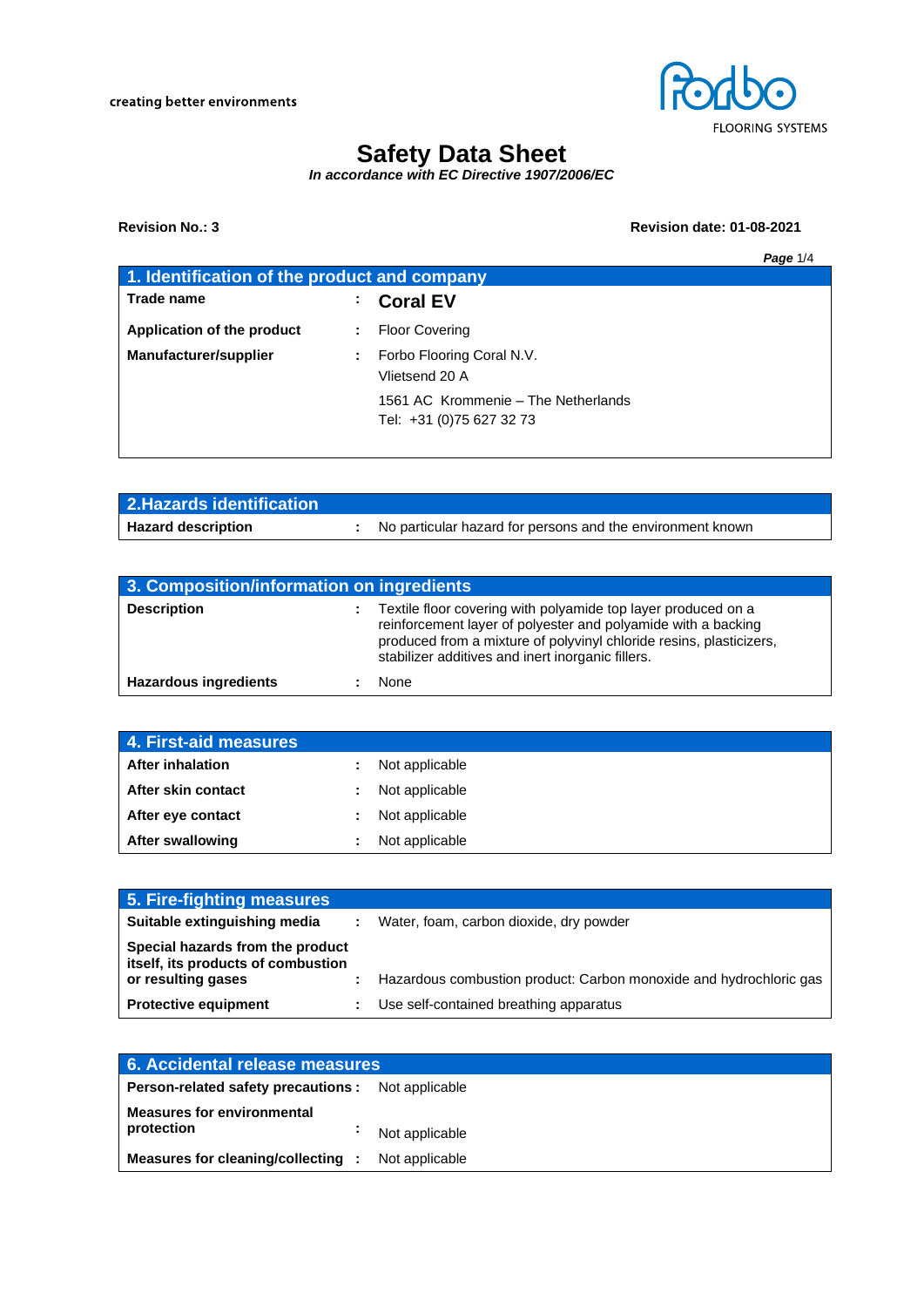

## **Safety Data Sheet**

*In accordance with EC Directive 1907/2006/EC*

### **Revision No.: 3 Revision date: 01-08-2021**

|                                              |                |                                                                 | Page $1/4$ |
|----------------------------------------------|----------------|-----------------------------------------------------------------|------------|
| 1. Identification of the product and company |                |                                                                 |            |
| Trade name                                   | $\blacksquare$ | <b>Coral EV</b>                                                 |            |
| Application of the product                   |                | <b>Floor Covering</b>                                           |            |
| Manufacturer/supplier                        |                | Forbo Flooring Coral N.V.<br>Vlietsend 20 A                     |            |
|                                              |                | 1561 AC Krommenie - The Netherlands<br>Tel: +31 (0)75 627 32 73 |            |

| 2. Hazards identification |                                                            |
|---------------------------|------------------------------------------------------------|
| <b>Hazard description</b> | No particular hazard for persons and the environment known |

| 3. Composition/information on ingredients |  |                                                                                                                                                                                                                                                            |  |
|-------------------------------------------|--|------------------------------------------------------------------------------------------------------------------------------------------------------------------------------------------------------------------------------------------------------------|--|
| <b>Description</b>                        |  | Textile floor covering with polyamide top layer produced on a<br>reinforcement layer of polyester and polyamide with a backing<br>produced from a mixture of polyvinyl chloride resins, plasticizers,<br>stabilizer additives and inert inorganic fillers. |  |
| <b>Hazardous ingredients</b>              |  | None                                                                                                                                                                                                                                                       |  |

| 4. First-aid measures   |    |                |
|-------------------------|----|----------------|
| <b>After inhalation</b> |    | Not applicable |
| After skin contact      | ÷. | Not applicable |
| After eye contact       | ÷. | Not applicable |
| <b>After swallowing</b> |    | Not applicable |

| 5. Fire-fighting measures                                                                    |                                                                    |
|----------------------------------------------------------------------------------------------|--------------------------------------------------------------------|
| Suitable extinguishing media                                                                 | Water, foam, carbon dioxide, dry powder                            |
| Special hazards from the product<br>itself, its products of combustion<br>or resulting gases | Hazardous combustion product: Carbon monoxide and hydrochloric gas |
| <b>Protective equipment</b>                                                                  | Use self-contained breathing apparatus                             |

| 6. Accidental release measures                  |                |  |  |
|-------------------------------------------------|----------------|--|--|
| <b>Person-related safety precautions:</b>       | Not applicable |  |  |
| <b>Measures for environmental</b><br>protection | Not applicable |  |  |
| <b>Measures for cleaning/collecting</b><br>÷    | Not applicable |  |  |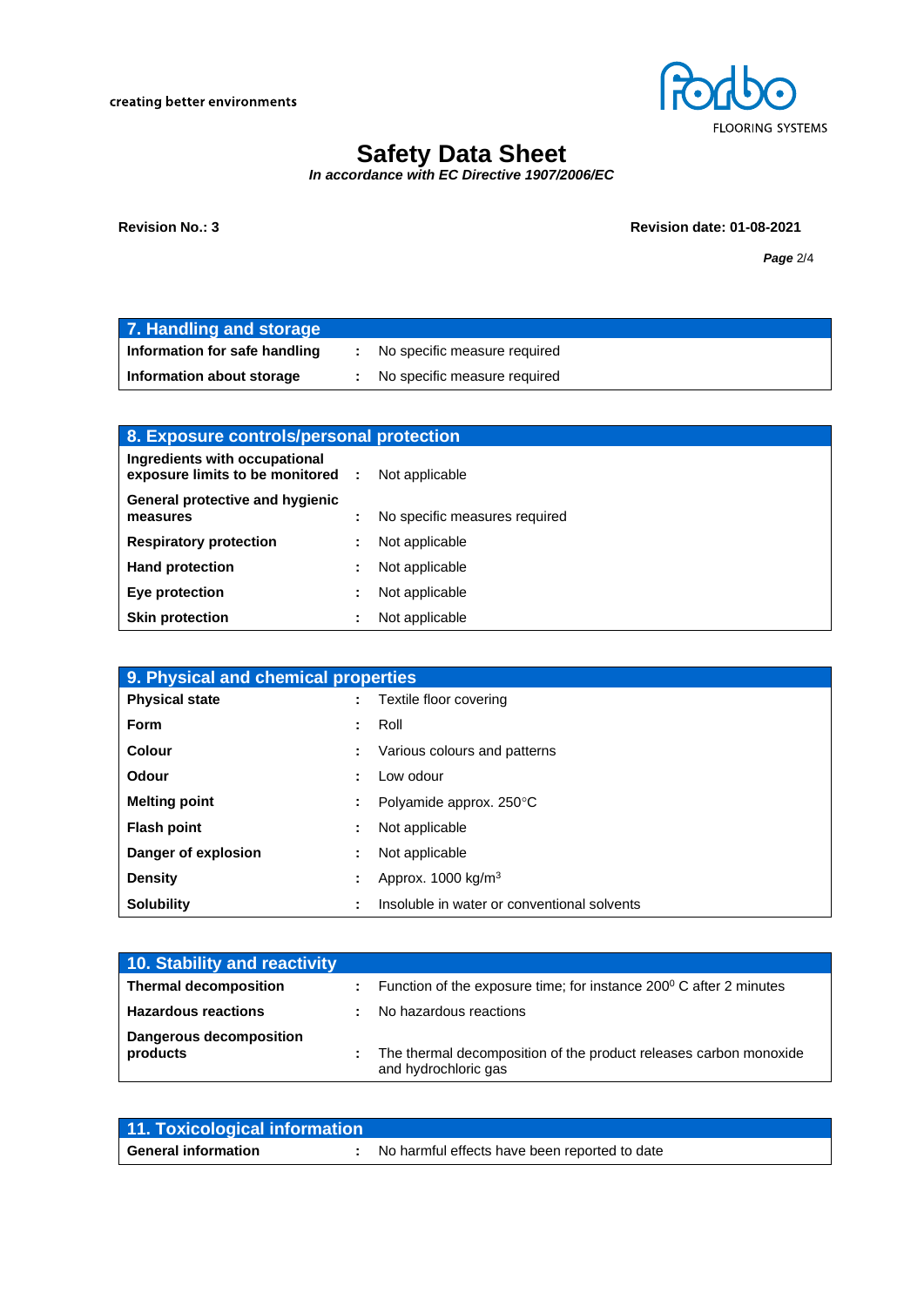

### **Safety Data Sheet**

*In accordance with EC Directive 1907/2006/EC*

### **Revision No.: 3 Revision date: 01-08-2021**

*Page* 2/4

| 7. Handling and storage       |                              |
|-------------------------------|------------------------------|
| Information for safe handling | No specific measure required |
| Information about storage     | No specific measure required |

| 8. Exposure controls/personal protection                           |   |                               |  |
|--------------------------------------------------------------------|---|-------------------------------|--|
| Ingredients with occupational<br>exposure limits to be monitored : |   | Not applicable                |  |
| General protective and hygienic<br>measures                        |   | No specific measures required |  |
| <b>Respiratory protection</b>                                      |   | Not applicable                |  |
| <b>Hand protection</b>                                             | ٠ | Not applicable                |  |
| Eye protection                                                     |   | Not applicable                |  |
| <b>Skin protection</b>                                             |   | Not applicable                |  |

| 9. Physical and chemical properties |    |                                             |  |
|-------------------------------------|----|---------------------------------------------|--|
| <b>Physical state</b>               |    | Textile floor covering                      |  |
| <b>Form</b>                         | ÷. | Roll                                        |  |
| Colour                              |    | Various colours and patterns                |  |
| Odour                               |    | Low odour                                   |  |
| <b>Melting point</b>                | ÷  | Polyamide approx. 250°C                     |  |
| <b>Flash point</b>                  | ÷  | Not applicable                              |  |
| Danger of explosion                 | ÷. | Not applicable                              |  |
| <b>Density</b>                      |    | Approx. $1000 \text{ kg/m}^3$               |  |
| <b>Solubility</b>                   |    | Insoluble in water or conventional solvents |  |

| 10. Stability and reactivity        |                                                                                           |
|-------------------------------------|-------------------------------------------------------------------------------------------|
| <b>Thermal decomposition</b>        | Function of the exposure time; for instance 200 <sup>0</sup> C after 2 minutes            |
| <b>Hazardous reactions</b>          | No hazardous reactions                                                                    |
| Dangerous decomposition<br>products | The thermal decomposition of the product releases carbon monoxide<br>and hydrochloric gas |

| 11. Toxicological information |                                               |
|-------------------------------|-----------------------------------------------|
| <b>General information</b>    | No harmful effects have been reported to date |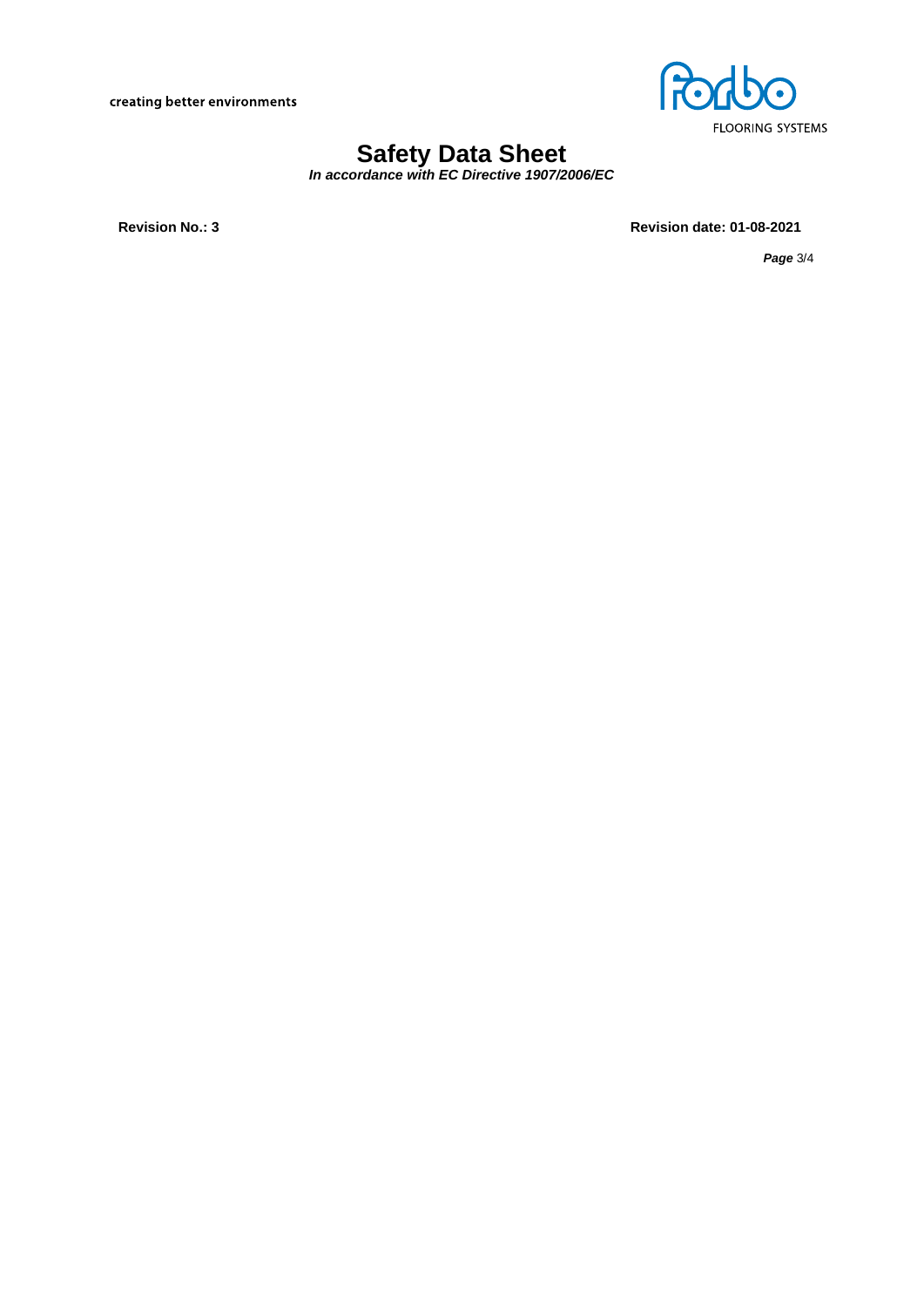creating better environments



# **Safety Data Sheet**

*In accordance with EC Directive 1907/2006/EC*

**Revision No.: 3 Revision date: 01-08-2021**

*Page* 3/4